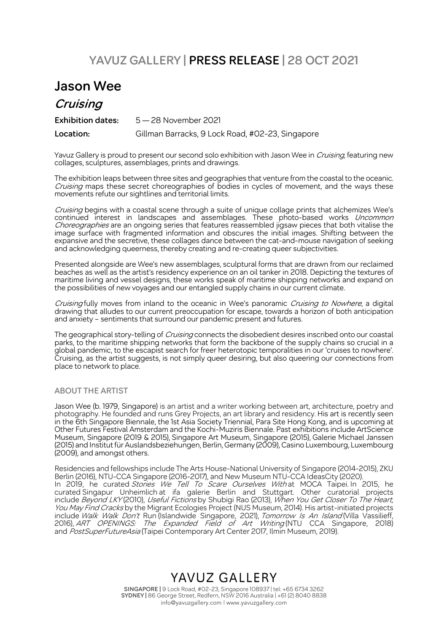## **YAVUZ GALLERY | PRESS RELEASE | 28 OCT 2021**

## **Jason Wee**

### **Cruising**

**Exhibition dates:** 5 — 28 November 2021 **Location:** Gillman Barracks, 9 Lock Road, #02-23, Singapore

Yavuz Gallery is proud to present our second solo exhibition with Jason Wee in *Cruising*, featuring new collages, sculptures, assemblages, prints and drawings.

The exhibition leaps between three sites and geographies that venture from the coastal to the oceanic. Cruising maps these secret choreographies of bodies in cycles of movement, and the ways these movements refute our sightlines and territorial limits.

Cruising begins with a coastal scene through a suite of unique collage prints that alchemizes Wee's continued interest in landscapes and assemblages. These photo-based works *Uncommon* Choreographies are an ongoing series that features reassembled jigsaw pieces that both vitalise the image surface with fragmented information and obscures the initial images. Shifting between the expansive and the secretive, these collages dance between the cat-and-mouse navigation of seeking and acknowledging queerness, thereby creating and re-creating queer subjectivities.

Presented alongside are Wee's new assemblages, sculptural forms that are drawn from our reclaimed beaches as well as the artist's residency experience on an oil tanker in 2018. Depicting the textures of maritime living and vessel designs, these works speak of maritime shipping networks and expand on the possibilities of new voyages and our entangled supply chains in our current climate.

Cruising fully moves from inland to the oceanic in Wee's panoramic Cruising to Nowhere, a digital drawing that alludes to our current preoccupation for escape, towards a horizon of both anticipation and anxiety – sentiments that surround our pandemic present and futures.

The geographical story-telling of *Cruising* connects the disobedient desires inscribed onto our coastal parks, to the maritime shipping networks that form the backbone of the supply chains so crucial in a global pandemic, to the escapist search for freer heterotopic temporalities in our 'cruises to nowhere'. Cruising, as the artist suggests, is not simply queer desiring, but also queering our connections from place to network to place.

#### **ABOUT THE ARTIST**

Jason Wee (b. 1979, Singapore) is an artist and a writer working between art, architecture, poetry and photography. He founded and runs Grey Projects, an art library and residency. His art is recently seen in the 6th Singapore Biennale, the 1st Asia Society Triennial, Para Site Hong Kong, and is upcoming at Other Futures Festival Amsterdam and the Kochi-Muziris Biennale. Past exhibitions include ArtScience Museum, Singapore (2019 & 2015), Singapore Art Museum, Singapore (2015), Galerie Michael Janssen (2015) and Institutfür Auslandsbeziehungen, Berlin, Germany (2009),Casino Luxembourg, Luxembourg (2009), and amongst others.

Residencies and fellowships include The Arts House-National University of Singapore (2014-2015), ZKU Berlin (2016), NTU-CCA Singapore (2016-2017), and New Museum NTU-CCA IdeasCity (2020). In 2019, he curated*Stories We Tell To Scare Ourselves With*-at MOCA Taipei. In 2015, he curated Singapur Unheimlich at ifa galerie Berlin and Stuttgart. Other curatorial projects include *Beyond LKY* (2010), *Useful Fictions* by Shubigi Rao (2013), *When You Get Closer To The Heart,* You May Find Cracks by the Migrant Ecologies Project (NUS Museum, 2014). His artist-initiated projects include *Walk Walk Don't* Run (Islandwide Singapore, 2021), *Tomorrow Is An Island* (Villa Vassilieff, 2016), *ART OPENINGS: The Expanded Field of Art Writing* (NTU CCA Singapore, 2018) and PostSuperFutureAsia (Taipei Contemporary Art Center 2017, Ilmin Museum, 2019).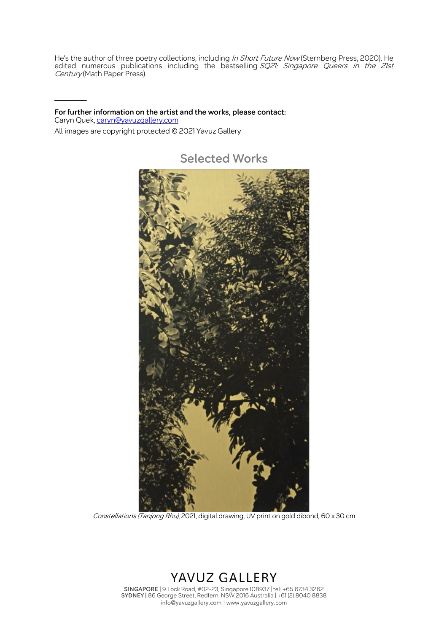He's the author of three poetry collections, including In Short Future Now (Sternberg Press, 2020). He edited numerous publications including the bestselling SQ21: Singapore Queers in the 21st Century (Math Paper Press).

**For further information on the artist and the works, please contact:** Caryn Quek, caryn@yavuzgallery.com All images are copyright protected © 2021 Yavuz Gallery

 $\frac{1}{2}$ 

**Selected Works**



Constellations (Tanjong Rhu), 2021, digital drawing, UV print on gold dibond, 60 x 30 cm

# YAVUZ GALLERY

**SINGAPORE |** 9 Lock Road, #02-23, Singapore 108937 | tel: +65 6734 3262 **SYDNEY |** 86 George Street, Redfern, NSW 2016 Australia | +61 (2) 8040 8838 info@yavuzgallery.com | www.yavuzgallery.com